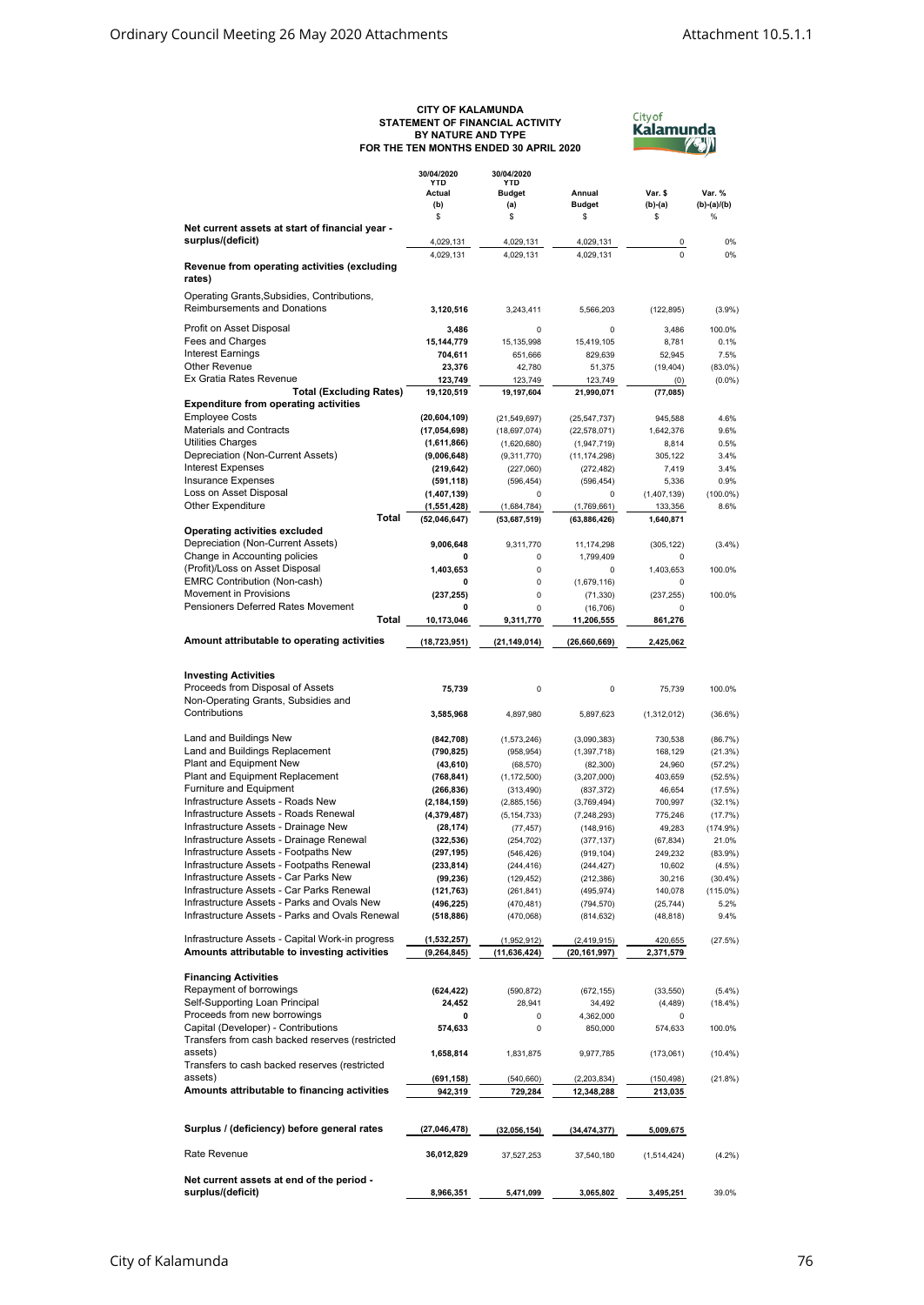## **CITY OF KALAMUNDA STATEMENT OF FINANCIAL ACTIVITY BY NATURE AND TYPE FOR THE TEN MONTHS ENDED 30 APRIL 2020**

<sup>City of</sup><br>**Kalamunda**<br>//\*//

|                                                  | 30/04/2020<br>YTD | 30/04/2020<br>YTD |                         |             |               |
|--------------------------------------------------|-------------------|-------------------|-------------------------|-------------|---------------|
|                                                  |                   |                   |                         |             |               |
|                                                  | Actual            | <b>Budget</b>     | Annual<br><b>Budget</b> | Var. \$     | Var. %        |
|                                                  | (b)               | (a)               |                         | $(b)-(a)$   | $(b)-(a)/(b)$ |
|                                                  | \$                | \$                | \$                      | \$          | %             |
| Net current assets at start of financial year -  |                   |                   |                         |             |               |
| surplus/(deficit)                                | 4,029,131         | 4,029,131         | 4,029,131               | 0           | 0%            |
|                                                  | 4,029,131         | 4,029,131         | 4,029,131               | $\Omega$    | 0%            |
| Revenue from operating activities (excluding     |                   |                   |                         |             |               |
| rates)                                           |                   |                   |                         |             |               |
|                                                  |                   |                   |                         |             |               |
| Operating Grants, Subsidies, Contributions,      |                   |                   |                         |             |               |
| <b>Reimbursements and Donations</b>              | 3,120,516         | 3,243,411         | 5,566,203               | (122, 895)  | (3.9%)        |
| Profit on Asset Disposal                         | 3,486             | 0                 | 0                       | 3,486       | 100.0%        |
| Fees and Charges                                 | 15,144,779        | 15,135,998        | 15,419,105              | 8,781       | 0.1%          |
| <b>Interest Earnings</b>                         |                   |                   |                         |             |               |
|                                                  | 704,611           | 651,666           | 829.639                 | 52,945      | 7.5%          |
| <b>Other Revenue</b>                             | 23,376            | 42,780            | 51,375                  | (19, 404)   | $(83.0\%)$    |
| Ex Gratia Rates Revenue                          | 123,749           | 123,749           | 123,749                 | (0)         | $(0.0\%)$     |
| <b>Total (Excluding Rates)</b>                   | 19,120,519        | 19,197,604        | 21,990,071              | (77, 085)   |               |
| <b>Expenditure from operating activities</b>     |                   |                   |                         |             |               |
| <b>Employee Costs</b>                            | (20, 604, 109)    | (21, 549, 697)    | (25, 547, 737)          | 945,588     | 4.6%          |
| <b>Materials and Contracts</b>                   | (17,054,698)      | (18, 697, 074)    | (22, 578, 071)          | 1,642,376   | 9.6%          |
| <b>Utilities Charges</b>                         | (1,611,866)       | (1,620,680)       | (1,947,719)             | 8,814       | 0.5%          |
| Depreciation (Non-Current Assets)                | (9,006,648)       | (9,311,770)       | (11, 174, 298)          | 305,122     | 3.4%          |
| <b>Interest Expenses</b>                         |                   |                   |                         |             | 3.4%          |
|                                                  | (219, 642)        | (227,060)         | (272, 482)              | 7,419       |               |
| <b>Insurance Expenses</b>                        | (591, 118)        | (596, 454)        | (596, 454)              | 5,336       | 0.9%          |
| Loss on Asset Disposal                           | (1,407,139)       | $\Omega$          | 0                       | (1,407,139) | $(100.0\%)$   |
| Other Expenditure                                | (1,551,428)       | (1,684,784)       | (1,769,661)             | 133,356     | 8.6%          |
| Total                                            | (52,046,647)      | (53,687,519)      | (63, 886, 426)          | 1,640,871   |               |
| Operating activities excluded                    |                   |                   |                         |             |               |
| Depreciation (Non-Current Assets)                | 9,006,648         | 9,311,770         | 11,174,298              | (305, 122)  | (3.4%)        |
| Change in Accounting policies                    | 0                 | 0                 | 1.799.409               | 0           |               |
| (Profit)/Loss on Asset Disposal                  |                   | 0                 | 0                       |             | 100.0%        |
|                                                  | 1,403,653         |                   |                         | 1,403,653   |               |
| EMRC Contribution (Non-cash)                     | 0                 | 0                 | (1,679,116)             | 0           |               |
| Movement in Provisions                           | (237, 255)        | 0                 | (71, 330)               | (237, 255)  | 100.0%        |
| Pensioners Deferred Rates Movement               | 0                 | 0                 | (16, 706)               | $\Omega$    |               |
| Total                                            | 10,173,046        | 9,311,770         | 11,206,555              | 861,276     |               |
|                                                  |                   |                   |                         |             |               |
| Amount attributable to operating activities      | (18, 723, 951)    | (21, 149, 014)    | (26,660,669)            | 2,425,062   |               |
|                                                  |                   |                   |                         |             |               |
|                                                  |                   |                   |                         |             |               |
| <b>Investing Activities</b>                      |                   |                   |                         |             |               |
| Proceeds from Disposal of Assets                 | 75,739            | 0                 | 0                       | 75,739      | 100.0%        |
| Non-Operating Grants, Subsidies and              |                   |                   |                         |             |               |
| Contributions                                    | 3,585,968         | 4,897,980         | 5,897,623               | (1,312,012) | $(36.6\%)$    |
|                                                  |                   |                   |                         |             |               |
|                                                  |                   |                   |                         |             |               |
| Land and Buildings New                           | (842, 708)        | (1,573,246)       | (3,090,383)             | 730,538     | (86.7%)       |
| Land and Buildings Replacement                   | (790, 825)        | (958, 954)        | (1, 397, 718)           | 168,129     | (21.3%)       |
| Plant and Equipment New                          | (43, 610)         | (68, 570)         | (82, 300)               | 24,960      | (57.2%)       |
| Plant and Equipment Replacement                  | (768, 841)        | (1, 172, 500)     | (3,207,000)             | 403,659     | (52.5%)       |
| Furniture and Equipment                          | (266, 836)        | (313, 490)        | (837, 372)              | 46,654      | (17.5%)       |
| Infrastructure Assets - Roads New                | (2, 184, 159)     | (2,885,156)       | (3,769,494)             | 700,997     | $(32.1\%)$    |
| Infrastructure Assets - Roads Renewal            | (4,379,487)       | (5, 154, 733)     | (7, 248, 293)           | 775,246     | (17.7%)       |
| Infrastructure Assets - Drainage New             | (28, 174)         | (77, 457)         | (148, 916)              | 49,283      | (174.9%)      |
| Infrastructure Assets - Drainage Renewal         | (322, 536)        |                   |                         |             |               |
| Infrastructure Assets - Footpaths New            |                   | (254, 702)        | (377, 137)              | (67, 834)   | 21.0%         |
|                                                  | (297, 195)        | (546, 426)        | (919, 104)              | 249,232     | $(83.9\%)$    |
| Infrastructure Assets - Footpaths Renewal        | (233,814)         | (244, 416)        | (244, 427)              | 10,602      | $(4.5\%)$     |
| Infrastructure Assets - Car Parks New            | (99, 236)         | (129, 452)        | (212, 386)              | 30,216      | (30.4%)       |
| Infrastructure Assets - Car Parks Renewal        | (121, 763)        | (261, 841)        | (495, 974)              | 140,078     | $(115.0\%)$   |
| Infrastructure Assets - Parks and Ovals New      | (496, 225)        | (470, 481)        | (794, 570)              | (25, 744)   | 5.2%          |
| Infrastructure Assets - Parks and Ovals Renewal  | (518, 886)        | (470,068)         | (814, 632)              | (48, 818)   | 9.4%          |
|                                                  |                   |                   |                         |             |               |
| Infrastructure Assets - Capital Work-in progress | (1,532,257)       | (1,952,912)       | (2, 419, 915)           | 420,655     | (27.5%)       |
| Amounts attributable to investing activities     | (9, 264, 845)     | (11, 636, 424)    | (20, 161, 997)          | 2,371,579   |               |
|                                                  |                   |                   |                         |             |               |
|                                                  |                   |                   |                         |             |               |
| <b>Financing Activities</b>                      |                   |                   |                         |             |               |
| Repayment of borrowings                          | (624, 422)        | (590, 872)        | (672, 155)              | (33, 550)   | (5.4%)        |
| Self-Supporting Loan Principal                   | 24,452            | 28,941            | 34,492                  | (4, 489)    | $(18.4\%)$    |
| Proceeds from new borrowings                     | 0                 | 0                 | 4,362,000               | 0           |               |
| Capital (Developer) - Contributions              | 574,633           | 0                 | 850,000                 | 574,633     | 100.0%        |
| Transfers from cash backed reserves (restricted  |                   |                   |                         |             |               |
| assets)                                          | 1,658,814         | 1,831,875         | 9,977,785               | (173,061)   | $(10.4\%)$    |
| Transfers to cash backed reserves (restricted    |                   |                   |                         |             |               |
| assets)                                          | (691, 158)        |                   |                         |             |               |
|                                                  |                   | (540, 660)        | (2,203,834)             | (150,498)   | (21.8%)       |
| Amounts attributable to financing activities     | 942,319           | 729,284           | 12,348,288              | 213,035     |               |
|                                                  |                   |                   |                         |             |               |
|                                                  |                   |                   |                         |             |               |
| Surplus / (deficiency) before general rates      | (27, 046, 478)    | (32,056,154)      | (34, 474, 377)          | 5,009,675   |               |
|                                                  |                   |                   |                         |             |               |
| Rate Revenue                                     | 36,012,829        | 37,527,253        | 37,540,180              | (1,514,424) | (4.2%)        |
|                                                  |                   |                   |                         |             |               |
| Net current assets at end of the period -        |                   |                   |                         |             |               |
| surplus/(deficit)                                | 8,966,351         | 5,471,099         | 3,065,802               | 3,495,251   | 39.0%         |
|                                                  |                   |                   |                         |             |               |